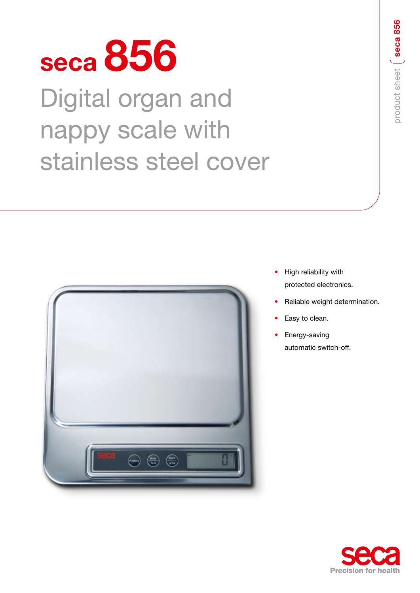# **seca 856**

Digital organ and nappy scale with stainless steel cover



- High reliability with protected electronics.
- Reliable weight determination.
- Easy to clean.
- Energy-saving automatic switch-off.